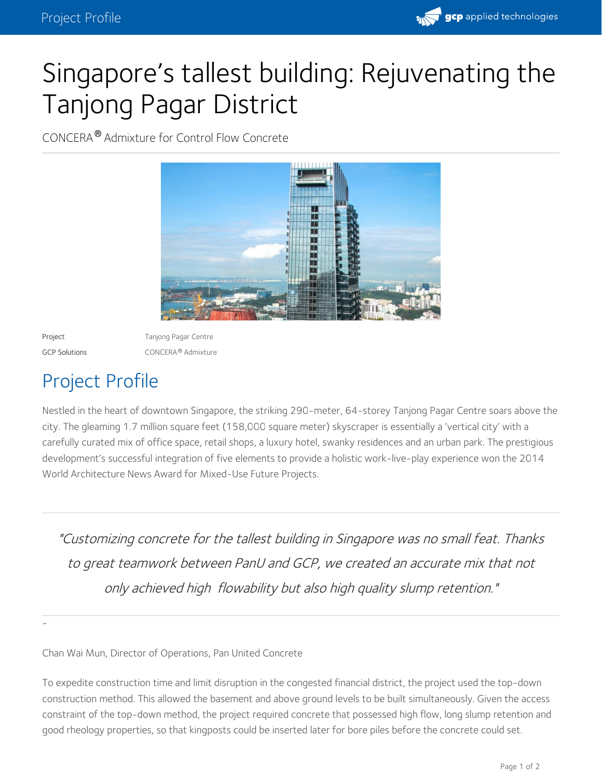

## Singapore's tallest building: Rejuvenating the Tanjong Pagar District

CONCERA® Admixture for Control Flow Concrete



-

Project **Tanjong Pagar Centre** GCP Solutions **CONCERA®** Admixture

## Project Profile

Nestled in the heart of downtown Singapore, the striking 290-meter, 64-storey Tanjong Pagar Centre soars above the city. The gleaming 1.7 million square feet (158,000 square meter) skyscraper is essentially a 'vertical city' with a carefully curated mix of office space, retail shops, a luxury hotel, swanky residences and an urban park. The prestigious development's successful integration of five elements to provide a holistic work-live-play experience won the 2014 World Architecture News Award for Mixed-Use Future Projects.

"Customizing concrete for the tallest building in Singapore was no small feat. Thanks to great teamwork between PanU and GCP, we created an accurate mix that not only achieved high flowability but also high quality slump retention."

Chan Wai Mun, Director of Operations, Pan United Concrete

To expedite construction time and limit disruption in the congested financial district, the project used the top-down construction method. This allowed the basement and above ground levels to be built simultaneously. Given the access constraint of the top-down method, the project required concrete that possessed high flow, long slump retention and good rheology properties, so that kingposts could be inserted later for bore piles before the concrete could set.